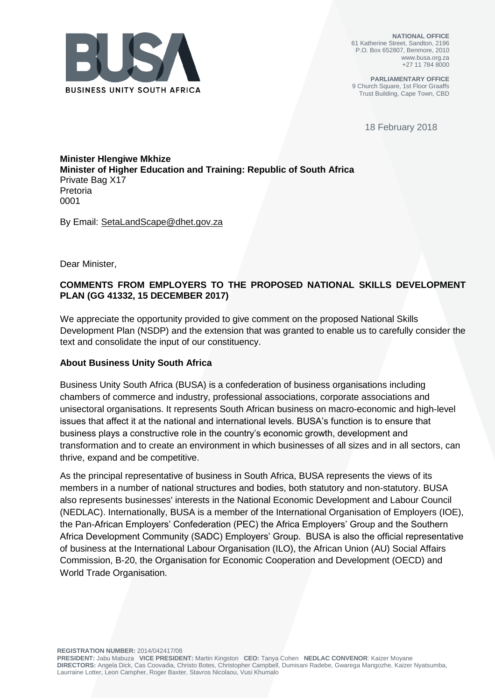

**NATIONAL OFFICE** 61 Katherine Street, Sandton, 2196 P.O. Box 652807, Benmore, 2010 www.busa.org.za +27 11 784 8000

**PARLIAMENTARY OFFICE** 9 Church Square, 1st Floor Graaffs Trust Building, Cape Town, CBD

18 February 2018

## **Minister Hlengiwe Mkhize Minister of Higher Education and Training: Republic of South Africa** Private Bag X17 Pretoria 0001

By Email: [SetaLandScape@dhet.gov.za](mailto:SetaLandScape@dhet.gov.za)

Dear Minister,

# **COMMENTS FROM EMPLOYERS TO THE PROPOSED NATIONAL SKILLS DEVELOPMENT PLAN (GG 41332, 15 DECEMBER 2017)**

We appreciate the opportunity provided to give comment on the proposed National Skills Development Plan (NSDP) and the extension that was granted to enable us to carefully consider the text and consolidate the input of our constituency.

### **About Business Unity South Africa**

Business Unity South Africa (BUSA) is a confederation of business organisations including chambers of commerce and industry, professional associations, corporate associations and unisectoral organisations. It represents South African business on macro-economic and high-level issues that affect it at the national and international levels. BUSA's function is to ensure that business plays a constructive role in the country's economic growth, development and transformation and to create an environment in which businesses of all sizes and in all sectors, can thrive, expand and be competitive.

As the principal representative of business in South Africa, BUSA represents the views of its members in a number of national structures and bodies, both statutory and non-statutory. BUSA also represents businesses' interests in the National Economic Development and Labour Council (NEDLAC). Internationally, BUSA is a member of the International Organisation of Employers (IOE), the Pan-African Employers' Confederation (PEC) the Africa Employers' Group and the Southern Africa Development Community (SADC) Employers' Group. BUSA is also the official representative of business at the International Labour Organisation (ILO), the African Union (AU) Social Affairs Commission, B-20, the Organisation for Economic Cooperation and Development (OECD) and World Trade Organisation.

**REGISTRATION NUMBER:** 2014/042417/08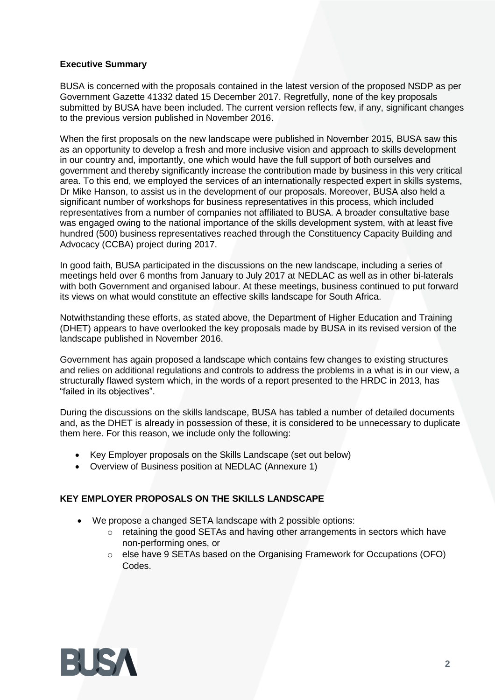# **Executive Summary**

BUSA is concerned with the proposals contained in the latest version of the proposed NSDP as per Government Gazette 41332 dated 15 December 2017. Regretfully, none of the key proposals submitted by BUSA have been included. The current version reflects few, if any, significant changes to the previous version published in November 2016.

When the first proposals on the new landscape were published in November 2015, BUSA saw this as an opportunity to develop a fresh and more inclusive vision and approach to skills development in our country and, importantly, one which would have the full support of both ourselves and government and thereby significantly increase the contribution made by business in this very critical area. To this end, we employed the services of an internationally respected expert in skills systems, Dr Mike Hanson, to assist us in the development of our proposals. Moreover, BUSA also held a significant number of workshops for business representatives in this process, which included representatives from a number of companies not affiliated to BUSA. A broader consultative base was engaged owing to the national importance of the skills development system, with at least five hundred (500) business representatives reached through the Constituency Capacity Building and Advocacy (CCBA) project during 2017.

In good faith, BUSA participated in the discussions on the new landscape, including a series of meetings held over 6 months from January to July 2017 at NEDLAC as well as in other bi-laterals with both Government and organised labour. At these meetings, business continued to put forward its views on what would constitute an effective skills landscape for South Africa.

Notwithstanding these efforts, as stated above, the Department of Higher Education and Training (DHET) appears to have overlooked the key proposals made by BUSA in its revised version of the landscape published in November 2016.

Government has again proposed a landscape which contains few changes to existing structures and relies on additional regulations and controls to address the problems in a what is in our view, a structurally flawed system which, in the words of a report presented to the HRDC in 2013, has "failed in its objectives".

During the discussions on the skills landscape, BUSA has tabled a number of detailed documents and, as the DHET is already in possession of these, it is considered to be unnecessary to duplicate them here. For this reason, we include only the following:

- Key Employer proposals on the Skills Landscape (set out below)
- Overview of Business position at NEDLAC (Annexure 1)

# **KEY EMPLOYER PROPOSALS ON THE SKILLS LANDSCAPE**

- We propose a changed SETA landscape with 2 possible options:
	- o retaining the good SETAs and having other arrangements in sectors which have non-performing ones, or
	- $\circ$  else have 9 SETAs based on the Organising Framework for Occupations (OFO) Codes.

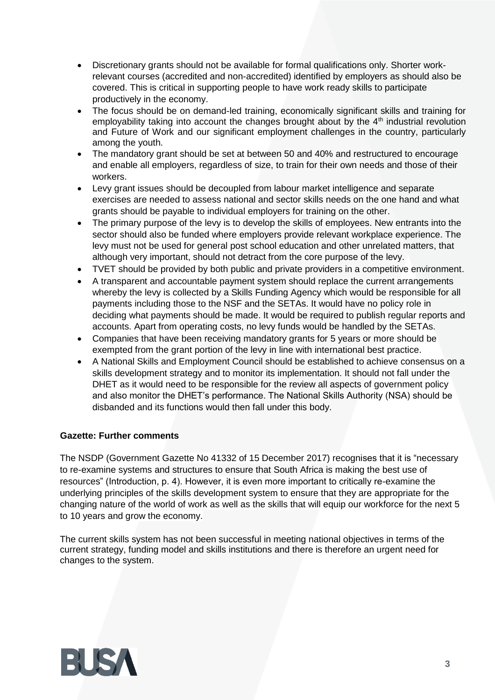- Discretionary grants should not be available for formal qualifications only. Shorter workrelevant courses (accredited and non-accredited) identified by employers as should also be covered. This is critical in supporting people to have work ready skills to participate productively in the economy.
- The focus should be on demand-led training, economically significant skills and training for employability taking into account the changes brought about by the  $4<sup>th</sup>$  industrial revolution and Future of Work and our significant employment challenges in the country, particularly among the youth.
- The mandatory grant should be set at between 50 and 40% and restructured to encourage and enable all employers, regardless of size, to train for their own needs and those of their workers.
- Levy grant issues should be decoupled from labour market intelligence and separate exercises are needed to assess national and sector skills needs on the one hand and what grants should be payable to individual employers for training on the other.
- The primary purpose of the levy is to develop the skills of employees. New entrants into the sector should also be funded where employers provide relevant workplace experience. The levy must not be used for general post school education and other unrelated matters, that although very important, should not detract from the core purpose of the levy.
- TVET should be provided by both public and private providers in a competitive environment.
- A transparent and accountable payment system should replace the current arrangements whereby the levy is collected by a Skills Funding Agency which would be responsible for all payments including those to the NSF and the SETAs. It would have no policy role in deciding what payments should be made. It would be required to publish regular reports and accounts. Apart from operating costs, no levy funds would be handled by the SETAs.
- Companies that have been receiving mandatory grants for 5 years or more should be exempted from the grant portion of the levy in line with international best practice.
- A National Skills and Employment Council should be established to achieve consensus on a skills development strategy and to monitor its implementation. It should not fall under the DHET as it would need to be responsible for the review all aspects of government policy and also monitor the DHET's performance. The National Skills Authority (NSA) should be disbanded and its functions would then fall under this body.

# **Gazette: Further comments**

The NSDP (Government Gazette No 41332 of 15 December 2017) recognises that it is "necessary to re-examine systems and structures to ensure that South Africa is making the best use of resources" (Introduction, p. 4). However, it is even more important to critically re-examine the underlying principles of the skills development system to ensure that they are appropriate for the changing nature of the world of work as well as the skills that will equip our workforce for the next 5 to 10 years and grow the economy.

The current skills system has not been successful in meeting national objectives in terms of the current strategy, funding model and skills institutions and there is therefore an urgent need for changes to the system.

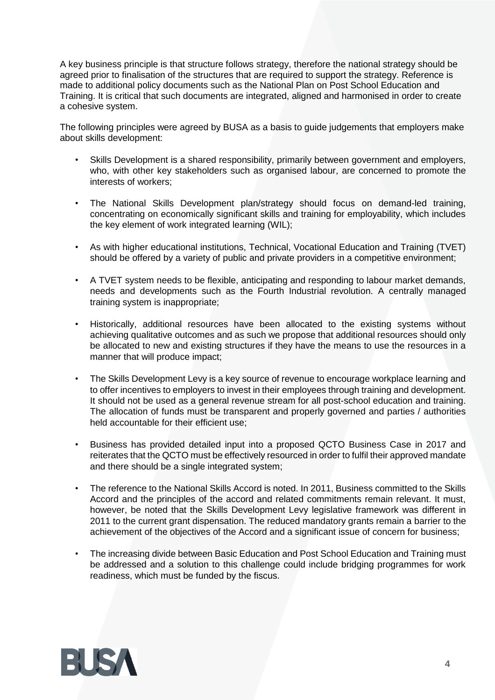A key business principle is that structure follows strategy, therefore the national strategy should be agreed prior to finalisation of the structures that are required to support the strategy. Reference is made to additional policy documents such as the National Plan on Post School Education and Training. It is critical that such documents are integrated, aligned and harmonised in order to create a cohesive system.

The following principles were agreed by BUSA as a basis to guide judgements that employers make about skills development:

- Skills Development is a shared responsibility, primarily between government and employers, who, with other key stakeholders such as organised labour, are concerned to promote the interests of workers;
- The National Skills Development plan/strategy should focus on demand-led training, concentrating on economically significant skills and training for employability, which includes the key element of work integrated learning (WIL);
- As with higher educational institutions, Technical, Vocational Education and Training (TVET) should be offered by a variety of public and private providers in a competitive environment;
- A TVET system needs to be flexible, anticipating and responding to labour market demands, needs and developments such as the Fourth Industrial revolution. A centrally managed training system is inappropriate;
- Historically, additional resources have been allocated to the existing systems without achieving qualitative outcomes and as such we propose that additional resources should only be allocated to new and existing structures if they have the means to use the resources in a manner that will produce impact;
- The Skills Development Levy is a key source of revenue to encourage workplace learning and to offer incentives to employers to invest in their employees through training and development. It should not be used as a general revenue stream for all post-school education and training. The allocation of funds must be transparent and properly governed and parties / authorities held accountable for their efficient use;
- Business has provided detailed input into a proposed QCTO Business Case in 2017 and reiterates that the QCTO must be effectively resourced in order to fulfil their approved mandate and there should be a single integrated system;
- The reference to the National Skills Accord is noted. In 2011, Business committed to the Skills Accord and the principles of the accord and related commitments remain relevant. It must, however, be noted that the Skills Development Levy legislative framework was different in 2011 to the current grant dispensation. The reduced mandatory grants remain a barrier to the achievement of the objectives of the Accord and a significant issue of concern for business;
- The increasing divide between Basic Education and Post School Education and Training must be addressed and a solution to this challenge could include bridging programmes for work readiness, which must be funded by the fiscus.

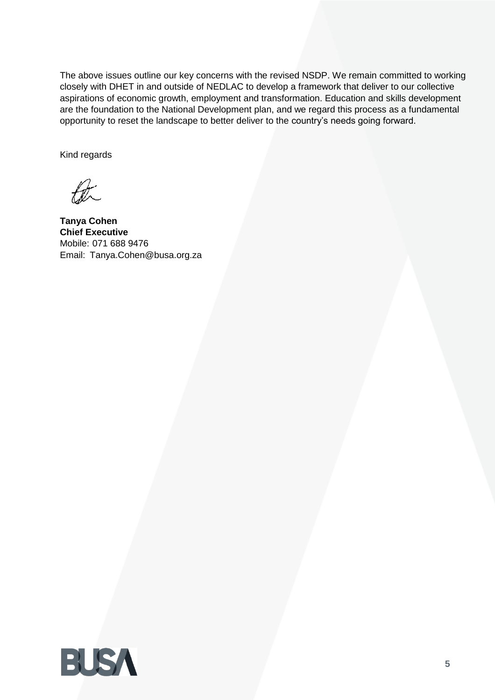The above issues outline our key concerns with the revised NSDP. We remain committed to working closely with DHET in and outside of NEDLAC to develop a framework that deliver to our collective aspirations of economic growth, employment and transformation. Education and skills development are the foundation to the National Development plan, and we regard this process as a fundamental opportunity to reset the landscape to better deliver to the country's needs going forward.

Kind regards

bt.

**Tanya Cohen Chief Executive** Mobile: 071 688 9476 Email: [Tanya.Cohen@busa.org.za](mailto:Tanya.Cohen@busa.org.za)

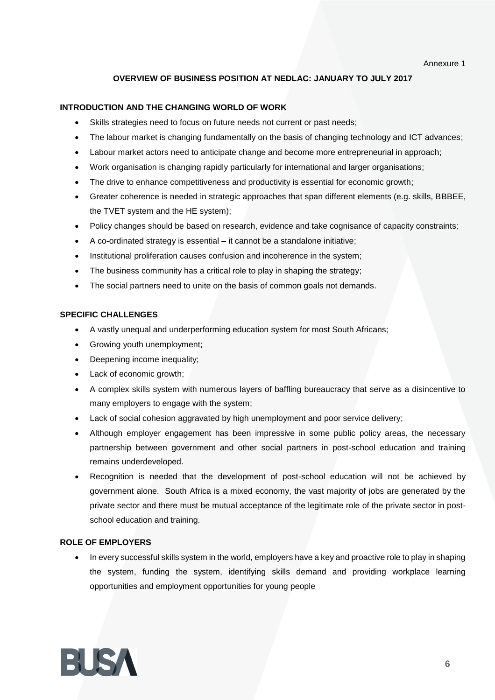Annexure 1

### **OVERVIEW OF BUSINESS POSITION AT NEDLAC: JANUARY TO JULY 2017**

#### **INTRODUCTION AND THE CHANGING WORLD OF WORK**

- Skills strategies need to focus on future needs not current or past needs;
- The labour market is changing fundamentally on the basis of changing technology and ICT advances;
- Labour market actors need to anticipate change and become more entrepreneurial in approach;
- Work organisation is changing rapidly particularly for international and larger organisations;
- The drive to enhance competitiveness and productivity is essential for economic growth;
- Greater coherence is needed in strategic approaches that span different elements (e.g. skills, BBBEE, the TVET system and the HE system);
- Policy changes should be based on research, evidence and take cognisance of capacity constraints;
- A co-ordinated strategy is essential it cannot be a standalone initiative;
- Institutional proliferation causes confusion and incoherence in the system;
- The business community has a critical role to play in shaping the strategy;
- The social partners need to unite on the basis of common goals not demands.

#### **SPECIFIC CHALLENGES**

- A vastly unequal and underperforming education system for most South Africans;
- Growing youth unemployment;
- Deepening income inequality;
- Lack of economic growth;
- A complex skills system with numerous layers of baffling bureaucracy that serve as a disincentive to many employers to engage with the system;
- Lack of social cohesion aggravated by high unemployment and poor service delivery;
- Although employer engagement has been impressive in some public policy areas, the necessary partnership between government and other social partners in post-school education and training remains underdeveloped.
- Recognition is needed that the development of post-school education will not be achieved by government alone. South Africa is a mixed economy, the vast majority of jobs are generated by the private sector and there must be mutual acceptance of the legitimate role of the private sector in postschool education and training.

#### **ROLE OF EMPLOYERS**

• In every successful skills system in the world, employers have a key and proactive role to play in shaping the system, funding the system, identifying skills demand and providing workplace learning opportunities and employment opportunities for young people

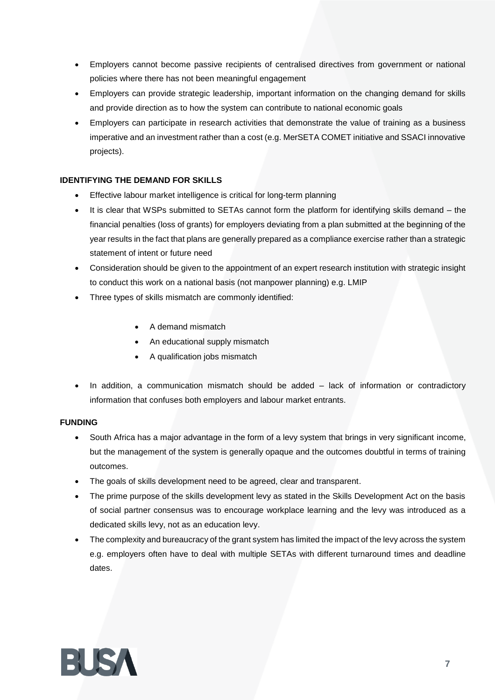- Employers cannot become passive recipients of centralised directives from government or national policies where there has not been meaningful engagement
- Employers can provide strategic leadership, important information on the changing demand for skills and provide direction as to how the system can contribute to national economic goals
- Employers can participate in research activities that demonstrate the value of training as a business imperative and an investment rather than a cost (e.g. MerSETA COMET initiative and SSACI innovative projects).

### **IDENTIFYING THE DEMAND FOR SKILLS**

- Effective labour market intelligence is critical for long-term planning
- It is clear that WSPs submitted to SETAs cannot form the platform for identifying skills demand the financial penalties (loss of grants) for employers deviating from a plan submitted at the beginning of the year results in the fact that plans are generally prepared as a compliance exercise rather than a strategic statement of intent or future need
- Consideration should be given to the appointment of an expert research institution with strategic insight to conduct this work on a national basis (not manpower planning) e.g. LMIP
- Three types of skills mismatch are commonly identified:
	- A demand mismatch
	- An educational supply mismatch
	- A qualification jobs mismatch
- In addition, a communication mismatch should be added lack of information or contradictory information that confuses both employers and labour market entrants.

### **FUNDING**

- South Africa has a major advantage in the form of a levy system that brings in very significant income, but the management of the system is generally opaque and the outcomes doubtful in terms of training outcomes.
- The goals of skills development need to be agreed, clear and transparent.
- The prime purpose of the skills development levy as stated in the Skills Development Act on the basis of social partner consensus was to encourage workplace learning and the levy was introduced as a dedicated skills levy, not as an education levy.
- The complexity and bureaucracy of the grant system has limited the impact of the levy across the system e.g. employers often have to deal with multiple SETAs with different turnaround times and deadline dates.

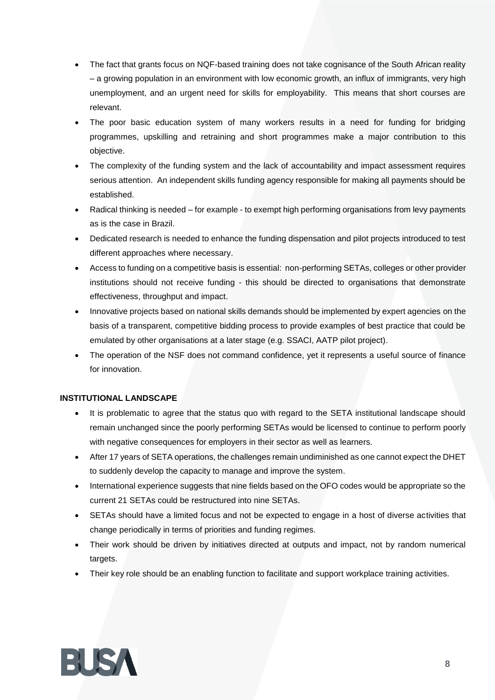- The fact that grants focus on NQF-based training does not take cognisance of the South African reality – a growing population in an environment with low economic growth, an influx of immigrants, very high unemployment, and an urgent need for skills for employability. This means that short courses are relevant.
- The poor basic education system of many workers results in a need for funding for bridging programmes, upskilling and retraining and short programmes make a major contribution to this objective.
- The complexity of the funding system and the lack of accountability and impact assessment requires serious attention. An independent skills funding agency responsible for making all payments should be established.
- Radical thinking is needed for example to exempt high performing organisations from levy payments as is the case in Brazil.
- Dedicated research is needed to enhance the funding dispensation and pilot projects introduced to test different approaches where necessary.
- Access to funding on a competitive basis is essential: non-performing SETAs, colleges or other provider institutions should not receive funding - this should be directed to organisations that demonstrate effectiveness, throughput and impact.
- Innovative projects based on national skills demands should be implemented by expert agencies on the basis of a transparent, competitive bidding process to provide examples of best practice that could be emulated by other organisations at a later stage (e.g. SSACI, AATP pilot project).
- The operation of the NSF does not command confidence, yet it represents a useful source of finance for innovation.

### **INSTITUTIONAL LANDSCAPE**

- It is problematic to agree that the status quo with regard to the SETA institutional landscape should remain unchanged since the poorly performing SETAs would be licensed to continue to perform poorly with negative consequences for employers in their sector as well as learners.
- After 17 years of SETA operations, the challenges remain undiminished as one cannot expect the DHET to suddenly develop the capacity to manage and improve the system.
- International experience suggests that nine fields based on the OFO codes would be appropriate so the current 21 SETAs could be restructured into nine SETAs.
- SETAs should have a limited focus and not be expected to engage in a host of diverse activities that change periodically in terms of priorities and funding regimes.
- Their work should be driven by initiatives directed at outputs and impact, not by random numerical targets.
- Their key role should be an enabling function to facilitate and support workplace training activities.